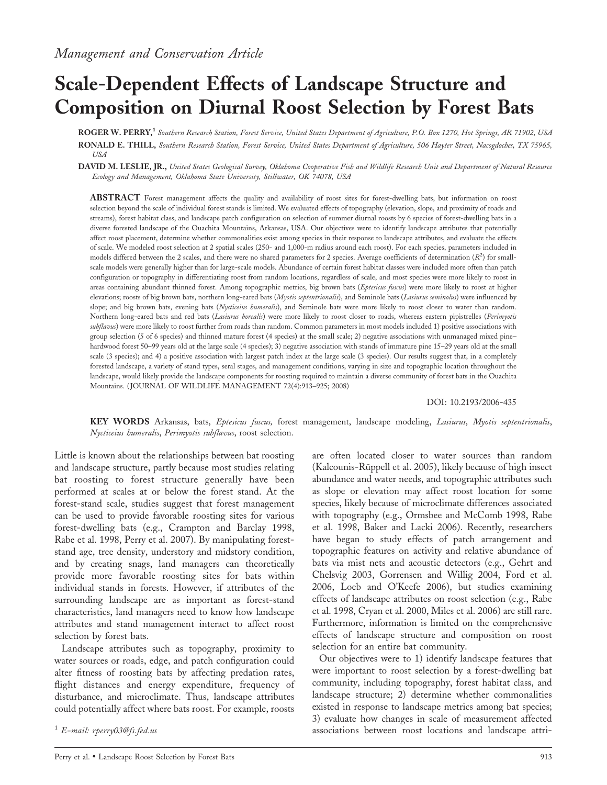# Scale-Dependent Effects of Landscape Structure and Composition on Diurnal Roost Selection by Forest Bats

ROGER W. PERRY,<sup>1</sup> Southern Research Station, Forest Service, United States Department of Agriculture, P.O. Box 1270, Hot Springs, AR 71902, USA RONALD E. THILL, Southern Research Station, Forest Service, United States Department of Agriculture, 506 Hayter Street, Nacogdoches, TX 75965, USA

DAVID M. LESLIE, JR., United States Geological Survey, Oklahoma Cooperative Fish and Wildlife Research Unit and Department of Natural Resource Ecology and Management, Oklahoma State University, Stillwater, OK 74078, USA

ABSTRACT Forest management affects the quality and availability of roost sites for forest-dwelling bats, but information on roost selection beyond the scale of individual forest stands is limited. We evaluated effects of topography (elevation, slope, and proximity of roads and streams), forest habitat class, and landscape patch configuration on selection of summer diurnal roosts by 6 species of forest-dwelling bats in a diverse forested landscape of the Ouachita Mountains, Arkansas, USA. Our objectives were to identify landscape attributes that potentially affect roost placement, determine whether commonalities exist among species in their response to landscape attributes, and evaluate the effects of scale. We modeled roost selection at 2 spatial scales (250- and 1,000-m radius around each roost). For each species, parameters included in models differed between the 2 scales, and there were no shared parameters for 2 species. Average coefficients of determination ( $R^2$ ) for smallscale models were generally higher than for large-scale models. Abundance of certain forest habitat classes were included more often than patch configuration or topography in differentiating roost from random locations, regardless of scale, and most species were more likely to roost in areas containing abundant thinned forest. Among topographic metrics, big brown bats (Eptesicus fuscus) were more likely to roost at higher elevations; roosts of big brown bats, northern long-eared bats (Myotis septentrionalis), and Seminole bats (Lasiurus seminolus) were influenced by slope; and big brown bats, evening bats (Nycticeius humeralis), and Seminole bats were more likely to roost closer to water than random. Northern long-eared bats and red bats (Lasiurus borealis) were more likely to roost closer to roads, whereas eastern pipistrelles (Perimyotis subflavus) were more likely to roost further from roads than random. Common parameters in most models included 1) positive associations with group selection (5 of 6 species) and thinned mature forest (4 species) at the small scale; 2) negative associations with unmanaged mixed pine– hardwood forest 50–99 years old at the large scale (4 species); 3) negative association with stands of immature pine 15–29 years old at the small scale (3 species); and 4) a positive association with largest patch index at the large scale (3 species). Our results suggest that, in a completely forested landscape, a variety of stand types, seral stages, and management conditions, varying in size and topographic location throughout the landscape, would likely provide the landscape components for roosting required to maintain a diverse community of forest bats in the Ouachita Mountains. (JOURNAL OF WILDLIFE MANAGEMENT 72(4):913–925; 2008)

DOI: 10.2193/2006-435

KEY WORDS Arkansas, bats, Eptesicus fuscus, forest management, landscape modeling, Lasiurus, Myotis septentrionalis, Nycticeius humeralis, Perimyotis subflavus, roost selection.

Little is known about the relationships between bat roosting and landscape structure, partly because most studies relating bat roosting to forest structure generally have been performed at scales at or below the forest stand. At the forest-stand scale, studies suggest that forest management can be used to provide favorable roosting sites for various forest-dwelling bats (e.g., Crampton and Barclay 1998, Rabe et al. 1998, Perry et al. 2007). By manipulating foreststand age, tree density, understory and midstory condition, and by creating snags, land managers can theoretically provide more favorable roosting sites for bats within individual stands in forests. However, if attributes of the surrounding landscape are as important as forest-stand characteristics, land managers need to know how landscape attributes and stand management interact to affect roost selection by forest bats.

Landscape attributes such as topography, proximity to water sources or roads, edge, and patch configuration could alter fitness of roosting bats by affecting predation rates, flight distances and energy expenditure, frequency of disturbance, and microclimate. Thus, landscape attributes could potentially affect where bats roost. For example, roosts

are often located closer to water sources than random (Kalcounis-Rüppell et al. 2005), likely because of high insect abundance and water needs, and topographic attributes such as slope or elevation may affect roost location for some species, likely because of microclimate differences associated with topography (e.g., Ormsbee and McComb 1998, Rabe et al. 1998, Baker and Lacki 2006). Recently, researchers have began to study effects of patch arrangement and topographic features on activity and relative abundance of bats via mist nets and acoustic detectors (e.g., Gehrt and Chelsvig 2003, Gorrensen and Willig 2004, Ford et al. 2006, Loeb and O'Keefe 2006), but studies examining effects of landscape attributes on roost selection (e.g., Rabe et al. 1998, Cryan et al. 2000, Miles et al. 2006) are still rare. Furthermore, information is limited on the comprehensive effects of landscape structure and composition on roost selection for an entire bat community.

Our objectives were to 1) identify landscape features that were important to roost selection by a forest-dwelling bat community, including topography, forest habitat class, and landscape structure; 2) determine whether commonalities existed in response to landscape metrics among bat species; 3) evaluate how changes in scale of measurement affected  $\frac{1}{2}$  E-mail: rperry03@fs.fed.us  $\frac{1}{2}$  examples  $\frac{1}{2}$  associations between roost locations and landscape attri-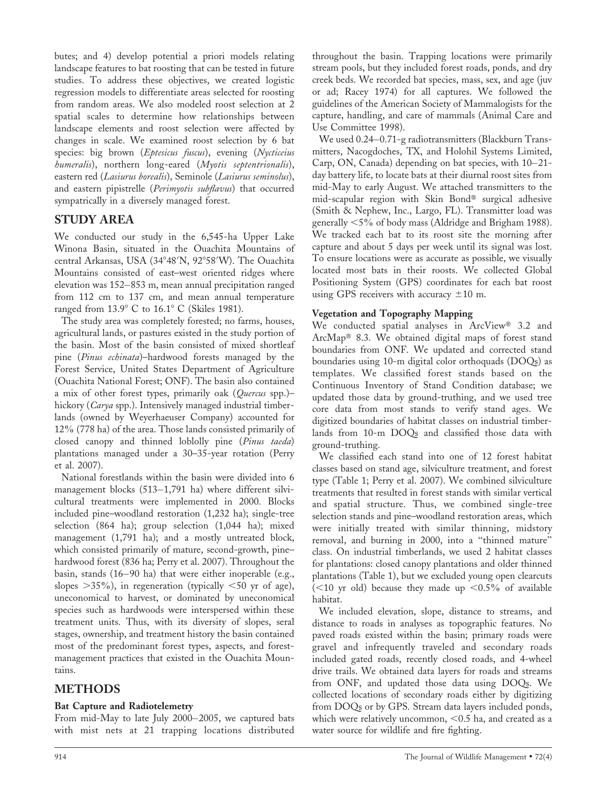butes; and 4) develop potential a priori models relating landscape features to bat roosting that can be tested in future studies. To address these objectives, we created logistic regression models to differentiate areas selected for roosting from random areas. We also modeled roost selection at 2 spatial scales to determine how relationships between landscape elements and roost selection were affected by changes in scale. We examined roost selection by 6 bat species: big brown (Eptesicus fuscus), evening (Nycticeius humeralis), northern long-eared (Myotis septentrionalis), eastern red (Lasiurus borealis), Seminole (Lasiurus seminolus), and eastern pipistrelle (Perimyotis subflavus) that occurred sympatrically in a diversely managed forest.

# STUDY AREA

We conducted our study in the 6,545-ha Upper Lake Winona Basin, situated in the Ouachita Mountains of central Arkansas, USA (34°48′N, 92°58′W). The Ouachita Mountains consisted of east–west oriented ridges where elevation was  $152-853$  m, mean annual precipitation ranged from 112 cm to 137 cm, and mean annual temperature ranged from  $13.9^{\circ}$  C to  $16.1^{\circ}$  C (Skiles 1981).

The study area was completely forested; no farms, houses, agricultural lands, or pastures existed in the study portion of the basin. Most of the basin consisted of mixed shortleaf pine (Pinus echinata)–hardwood forests managed by the Forest Service, United States Department of Agriculture (Ouachita National Forest; ONF). The basin also contained a mix of other forest types, primarily oak (Quercus spp.)hickory (Carya spp.). Intensively managed industrial timberlands (owned by Weyerhaeuser Company) accounted for 12% (778 ha) of the area. Those lands consisted primarily of closed canopy and thinned loblolly pine (Pinus taeda) plantations managed under a 30–35-year rotation (Perry et al. 2007).

National forestlands within the basin were divided into 6 management blocks (513-1,791 ha) where different silvicultural treatments were implemented in 2000. Blocks included pine–woodland restoration (1,232 ha); single-tree selection (864 ha); group selection (1,044 ha); mixed management (1,791 ha); and a mostly untreated block, which consisted primarily of mature, second-growth, pine– hardwood forest (836 ha; Perry et al. 2007). Throughout the basin, stands  $(16-90$  ha) that were either inoperable (e.g., slopes  $>35\%$ ), in regeneration (typically  $<$  50 yr of age), uneconomical to harvest, or dominated by uneconomical species such as hardwoods were interspersed within these treatment units. Thus, with its diversity of slopes, seral stages, ownership, and treatment history the basin contained most of the predominant forest types, aspects, and forestmanagement practices that existed in the Ouachita Mountains.

# METHODS

#### Bat Capture and Radiotelemetry

From mid-May to late July 2000–2005, we captured bats with mist nets at 21 trapping locations distributed throughout the basin. Trapping locations were primarily stream pools, but they included forest roads, ponds, and dry creek beds. We recorded bat species, mass, sex, and age (juv or ad; Racey 1974) for all captures. We followed the guidelines of the American Society of Mammalogists for the capture, handling, and care of mammals (Animal Care and Use Committee 1998).

We used 0.24–0.71-g radiotransmitters (Blackburn Transmitters, Nacogdoches, TX, and Holohil Systems Limited, Carp, ON, Canada) depending on bat species, with 10-21day battery life, to locate bats at their diurnal roost sites from mid-May to early August. We attached transmitters to the mid-scapular region with Skin Bond® surgical adhesive (Smith & Nephew, Inc., Largo, FL). Transmitter load was generally ,5% of body mass (Aldridge and Brigham 1988). We tracked each bat to its roost site the morning after capture and about 5 days per week until its signal was lost. To ensure locations were as accurate as possible, we visually located most bats in their roosts. We collected Global Positioning System (GPS) coordinates for each bat roost using GPS receivers with accuracy  $\pm 10$  m.

#### Vegetation and Topography Mapping

We conducted spatial analyses in ArcView® 3.2 and ArcMap® 8.3. We obtained digital maps of forest stand boundaries from ONF. We updated and corrected stand boundaries using 10-m digital color orthoquads (DOQs) as templates. We classified forest stands based on the Continuous Inventory of Stand Condition database; we updated those data by ground-truthing, and we used tree core data from most stands to verify stand ages. We digitized boundaries of habitat classes on industrial timberlands from 10-m DOQs and classified those data with ground-truthing.

We classified each stand into one of 12 forest habitat classes based on stand age, silviculture treatment, and forest type (Table 1; Perry et al. 2007). We combined silviculture treatments that resulted in forest stands with similar vertical and spatial structure. Thus, we combined single-tree selection stands and pine–woodland restoration areas, which were initially treated with similar thinning, midstory removal, and burning in 2000, into a ''thinned mature'' class. On industrial timberlands, we used 2 habitat classes for plantations: closed canopy plantations and older thinned plantations (Table 1), but we excluded young open clearcuts (<10 yr old) because they made up  $\langle 0.5\%$  of available habitat.

We included elevation, slope, distance to streams, and distance to roads in analyses as topographic features. No paved roads existed within the basin; primary roads were gravel and infrequently traveled and secondary roads included gated roads, recently closed roads, and 4-wheel drive trails. We obtained data layers for roads and streams from ONF, and updated those data using DOQs. We collected locations of secondary roads either by digitizing from DOQs or by GPS. Stream data layers included ponds, which were relatively uncommon,  $<$  0.5 ha, and created as a water source for wildlife and fire fighting.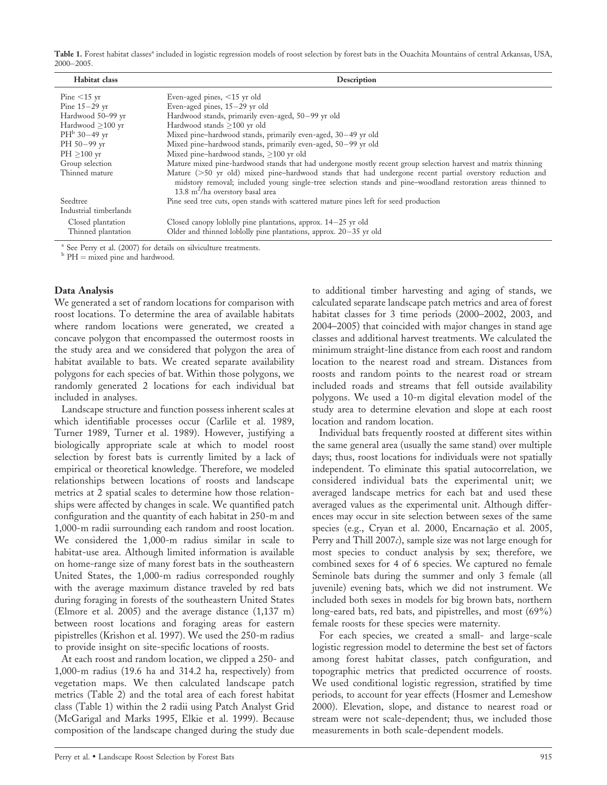Table 1. Forest habitat classes<sup>a</sup> included in logistic regression models of roost selection by forest bats in the Ouachita Mountains of central Arkansas, USA, 2000-2005.

| <b>Habitat</b> class   | Description                                                                                                                                                                                                                                                              |
|------------------------|--------------------------------------------------------------------------------------------------------------------------------------------------------------------------------------------------------------------------------------------------------------------------|
| Pine $\leq 15$ yr      | Even-aged pines, $\leq 15$ yr old                                                                                                                                                                                                                                        |
| Pine $15-29$ yr        | Even-aged pines, 15-29 yr old                                                                                                                                                                                                                                            |
| Hardwood 50-99 yr      | Hardwood stands, primarily even-aged, 50-99 yr old                                                                                                                                                                                                                       |
| Hardwood $>100$ yr     | Hardwood stands >100 yr old                                                                                                                                                                                                                                              |
| $PHb$ 30-49 yr         | Mixed pine-hardwood stands, primarily even-aged, 30-49 yr old                                                                                                                                                                                                            |
| PH 50-99 yr            | Mixed pine-hardwood stands, primarily even-aged, 50-99 yr old                                                                                                                                                                                                            |
| $PH \geq 100$ yr       | Mixed pine-hardwood stands, $\geq$ 100 yr old                                                                                                                                                                                                                            |
| Group selection        | Mature mixed pine-hardwood stands that had undergone mostly recent group selection harvest and matrix thinning                                                                                                                                                           |
| Thinned mature         | Mature (>50 yr old) mixed pine-hardwood stands that had undergone recent partial overstory reduction and<br>midstory removal; included young single-tree selection stands and pine-woodland restoration areas thinned to<br>13.8 m <sup>2</sup> /ha overstory basal area |
| Seedtree               | Pine seed tree cuts, open stands with scattered mature pines left for seed production                                                                                                                                                                                    |
| Industrial timberlands |                                                                                                                                                                                                                                                                          |
| Closed plantation      | Closed canopy loblolly pine plantations, approx. $14-25$ yr old                                                                                                                                                                                                          |
| Thinned plantation     | Older and thinned loblolly pine plantations, approx. 20-35 yr old                                                                                                                                                                                                        |

<sup>a</sup> See Perry et al. (2007) for details on silviculture treatments.

 $\overrightarrow{p} PH = \overrightarrow{m}$  ixed pine and hardwood.

#### Data Analysis

We generated a set of random locations for comparison with roost locations. To determine the area of available habitats where random locations were generated, we created a concave polygon that encompassed the outermost roosts in the study area and we considered that polygon the area of habitat available to bats. We created separate availability polygons for each species of bat. Within those polygons, we randomly generated 2 locations for each individual bat included in analyses.

Landscape structure and function possess inherent scales at which identifiable processes occur (Carlile et al. 1989, Turner 1989, Turner et al. 1989). However, justifying a biologically appropriate scale at which to model roost selection by forest bats is currently limited by a lack of empirical or theoretical knowledge. Therefore, we modeled relationships between locations of roosts and landscape metrics at 2 spatial scales to determine how those relationships were affected by changes in scale. We quantified patch configuration and the quantity of each habitat in 250-m and 1,000-m radii surrounding each random and roost location. We considered the 1,000-m radius similar in scale to habitat-use area. Although limited information is available on home-range size of many forest bats in the southeastern United States, the 1,000-m radius corresponded roughly with the average maximum distance traveled by red bats during foraging in forests of the southeastern United States (Elmore et al. 2005) and the average distance (1,137 m) between roost locations and foraging areas for eastern pipistrelles (Krishon et al. 1997). We used the 250-m radius to provide insight on site-specific locations of roosts.

At each roost and random location, we clipped a 250- and 1,000-m radius (19.6 ha and 314.2 ha, respectively) from vegetation maps. We then calculated landscape patch metrics (Table 2) and the total area of each forest habitat class (Table 1) within the 2 radii using Patch Analyst Grid (McGarigal and Marks 1995, Elkie et al. 1999). Because composition of the landscape changed during the study due to additional timber harvesting and aging of stands, we calculated separate landscape patch metrics and area of forest habitat classes for 3 time periods (2000–2002, 2003, and 2004–2005) that coincided with major changes in stand age classes and additional harvest treatments. We calculated the minimum straight-line distance from each roost and random location to the nearest road and stream. Distances from roosts and random points to the nearest road or stream included roads and streams that fell outside availability polygons. We used a 10-m digital elevation model of the study area to determine elevation and slope at each roost location and random location.

Individual bats frequently roosted at different sites within the same general area (usually the same stand) over multiple days; thus, roost locations for individuals were not spatially independent. To eliminate this spatial autocorrelation, we considered individual bats the experimental unit; we averaged landscape metrics for each bat and used these averaged values as the experimental unit. Although differences may occur in site selection between sexes of the same species (e.g., Cryan et al. 2000, Encarnação et al. 2005, Perry and Thill 2007c), sample size was not large enough for most species to conduct analysis by sex; therefore, we combined sexes for 4 of 6 species. We captured no female Seminole bats during the summer and only 3 female (all juvenile) evening bats, which we did not instrument. We included both sexes in models for big brown bats, northern long-eared bats, red bats, and pipistrelles, and most (69%) female roosts for these species were maternity.

For each species, we created a small- and large-scale logistic regression model to determine the best set of factors among forest habitat classes, patch configuration, and topographic metrics that predicted occurrence of roosts. We used conditional logistic regression, stratified by time periods, to account for year effects (Hosmer and Lemeshow 2000). Elevation, slope, and distance to nearest road or stream were not scale-dependent; thus, we included those measurements in both scale-dependent models.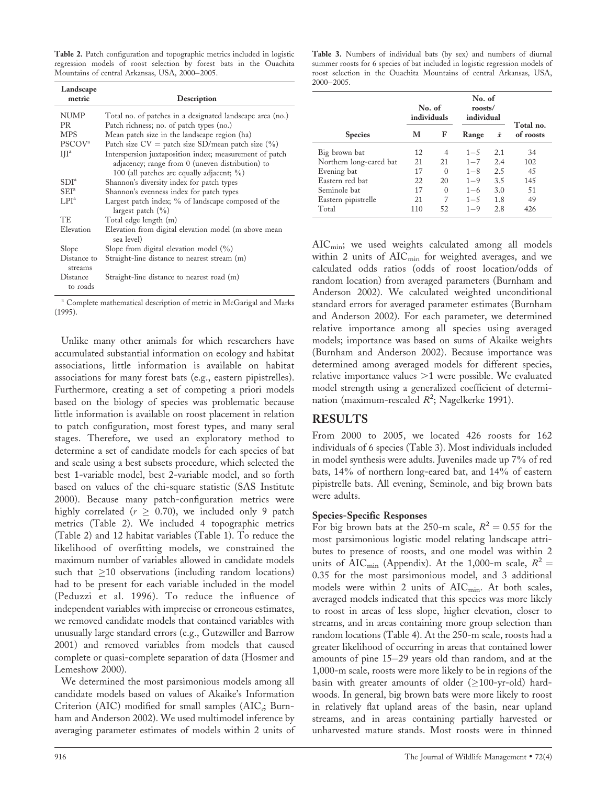Table 2. Patch configuration and topographic metrics included in logistic regression models of roost selection by forest bats in the Ouachita Mountains of central Arkansas, USA, 2000-2005.

| Landscape<br>metric    | Description                                               |
|------------------------|-----------------------------------------------------------|
| <b>NUMP</b>            | Total no. of patches in a designated landscape area (no.) |
| PR                     | Patch richness; no. of patch types (no.)                  |
| <b>MPS</b>             | Mean patch size in the landscape region (ha)              |
| PSCOV <sup>a</sup>     | Patch size $CV =$ patch size SD/mean patch size $(\%)$    |
| III <sup>a</sup>       | Interspersion juxtaposition index; measurement of patch   |
|                        | adjacency; range from 0 (uneven distribution) to          |
|                        | 100 (all patches are equally adjacent; $\%$ )             |
| SDI <sup>a</sup>       | Shannon's diversity index for patch types                 |
| SEI <sup>a</sup>       | Shannon's evenness index for patch types                  |
| LPI <sup>a</sup>       | Largest patch index; % of landscape composed of the       |
|                        | largest patch $(\% )$                                     |
| <b>TE</b>              | Total edge length (m)                                     |
| Elevation              | Elevation from digital elevation model (m above mean      |
|                        | sea level)                                                |
| Slope                  | Slope from digital elevation model $(\%)$                 |
| Distance to<br>streams | Straight-line distance to nearest stream (m)              |
| Distance<br>to roads   | Straight-line distance to nearest road (m)                |

<sup>a</sup> Complete mathematical description of metric in McGarigal and Marks (1995).

Unlike many other animals for which researchers have accumulated substantial information on ecology and habitat associations, little information is available on habitat associations for many forest bats (e.g., eastern pipistrelles). Furthermore, creating a set of competing a priori models based on the biology of species was problematic because little information is available on roost placement in relation to patch configuration, most forest types, and many seral stages. Therefore, we used an exploratory method to determine a set of candidate models for each species of bat and scale using a best subsets procedure, which selected the best 1-variable model, best 2-variable model, and so forth based on values of the chi-square statistic (SAS Institute 2000). Because many patch-configuration metrics were highly correlated ( $r \geq 0.70$ ), we included only 9 patch metrics (Table 2). We included 4 topographic metrics (Table 2) and 12 habitat variables (Table 1). To reduce the likelihood of overfitting models, we constrained the maximum number of variables allowed in candidate models such that  $\geq$ 10 observations (including random locations) had to be present for each variable included in the model (Peduzzi et al. 1996). To reduce the influence of independent variables with imprecise or erroneous estimates, we removed candidate models that contained variables with unusually large standard errors (e.g., Gutzwiller and Barrow 2001) and removed variables from models that caused complete or quasi-complete separation of data (Hosmer and Lemeshow 2000).

We determined the most parsimonious models among all candidate models based on values of Akaike's Information Criterion (AIC) modified for small samples ( $AIC<sub>c</sub>$ ; Burnham and Anderson 2002). We used multimodel inference by averaging parameter estimates of models within 2 units of Table 3. Numbers of individual bats (by sex) and numbers of diurnal summer roosts for 6 species of bat included in logistic regression models of roost selection in the Ouachita Mountains of central Arkansas, USA, 2000-2005.

|                         | No. of<br>individuals |          | No. of<br>roosts/<br>individual |           | Total no. |  |
|-------------------------|-----------------------|----------|---------------------------------|-----------|-----------|--|
| <b>Species</b>          | М                     | F        | Range                           | $\bar{x}$ | of roosts |  |
| Big brown bat           | 12                    | 4        | $1 - 5$                         | 2.1       | 34        |  |
| Northern long-eared bat | 21                    | 21       | $1 - 7$                         | 2.4       | 102       |  |
| Evening bat             | 17                    | $\Omega$ | $1 - 8$                         | 2.5       | 45        |  |
| Eastern red bat         | 22                    | 20       | $1 - 9$                         | 3.5       | 145       |  |
| Seminole bat            | 17                    | $\Omega$ | $1 - 6$                         | 3.0       | 51        |  |
| Eastern pipistrelle     | 21                    | 7        | $1 - 5$                         | 1.8       | 49        |  |
| Total                   | 110                   | 52       | $1 - 9$                         | 2.8       | 426       |  |

AIC<sub>min</sub>; we used weights calculated among all models within 2 units of  $AIC_{min}$  for weighted averages, and we calculated odds ratios (odds of roost location/odds of random location) from averaged parameters (Burnham and Anderson 2002). We calculated weighted unconditional standard errors for averaged parameter estimates (Burnham and Anderson 2002). For each parameter, we determined relative importance among all species using averaged models; importance was based on sums of Akaike weights (Burnham and Anderson 2002). Because importance was determined among averaged models for different species, relative importance values  $>1$  were possible. We evaluated model strength using a generalized coefficient of determination (maximum-rescaled  $R^2$ ; Nagelkerke 1991).

# RESULTS

From 2000 to 2005, we located 426 roosts for 162 individuals of 6 species (Table 3). Most individuals included in model synthesis were adults. Juveniles made up 7% of red bats, 14% of northern long-eared bat, and 14% of eastern pipistrelle bats. All evening, Seminole, and big brown bats were adults.

#### Species-Specific Responses

For big brown bats at the 250-m scale,  $R^2 = 0.55$  for the most parsimonious logistic model relating landscape attributes to presence of roosts, and one model was within 2 units of AIC<sub>min</sub> (Appendix). At the 1,000-m scale,  $R^2 =$ 0.35 for the most parsimonious model, and 3 additional models were within 2 units of  $AIC_{min}$ . At both scales, averaged models indicated that this species was more likely to roost in areas of less slope, higher elevation, closer to streams, and in areas containing more group selection than random locations (Table 4). At the 250-m scale, roosts had a greater likelihood of occurring in areas that contained lower amounts of pine 15-29 years old than random, and at the 1,000-m scale, roosts were more likely to be in regions of the basin with greater amounts of older  $(\geq 100$ -yr-old) hardwoods. In general, big brown bats were more likely to roost in relatively flat upland areas of the basin, near upland streams, and in areas containing partially harvested or unharvested mature stands. Most roosts were in thinned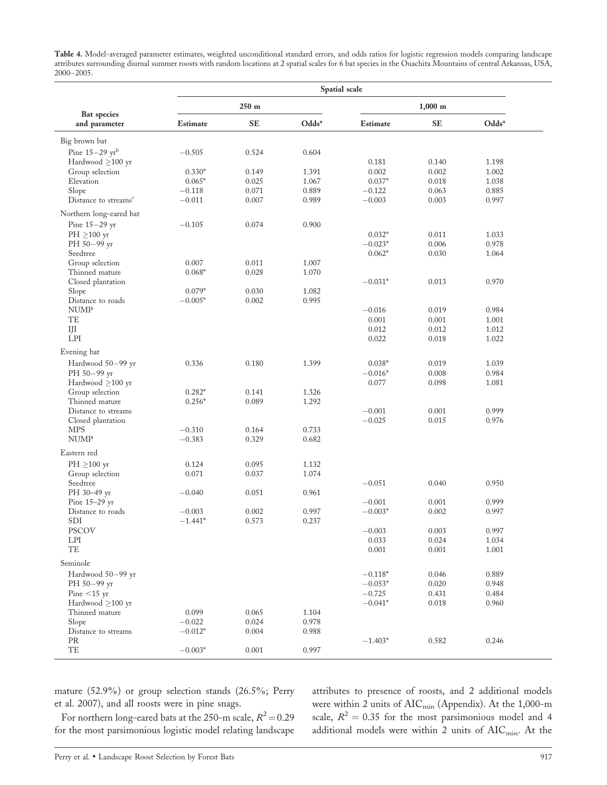Table 4. Model-averaged parameter estimates, weighted unconditional standard errors, and odds ratios for logistic regression models comparing landscape attributes surrounding diurnal summer roosts with random locations at 2 spatial scales for 6 bat species in the Ouachita Mountains of central Arkansas, USA, 2000-2005.

|                                  | Spatial scale         |                |                   |                      |                   |                   |  |  |
|----------------------------------|-----------------------|----------------|-------------------|----------------------|-------------------|-------------------|--|--|
|                                  |                       | $250$ m        |                   |                      | $1,000 \text{ m}$ |                   |  |  |
| Bat species<br>and parameter     | <b>Estimate</b>       | <b>SE</b>      | Odds <sup>a</sup> | Estimate             | <b>SE</b>         | Odds <sup>a</sup> |  |  |
| Big brown bat                    |                       |                |                   |                      |                   |                   |  |  |
| Pine $15-29$ yr <sup>b</sup>     | $-0.505$              | 0.524          | 0.604             |                      |                   |                   |  |  |
| Hardwood $\geq$ 100 yr           |                       |                |                   | 0.181                | 0.140             | 1.198             |  |  |
| Group selection                  | $0.330*$              | 0.149          | 1.391             | 0.002                | 0.002             | 1.002             |  |  |
| Elevation                        | $0.065*$              | 0.025          | 1.067             | $0.037*$             | 0.018             | 1.038             |  |  |
| Slope                            | $-0.118$              | 0.071          | 0.889             | $-0.122$             | 0.063             | 0.885             |  |  |
| Distance to streams <sup>c</sup> | $-0.011$              | 0.007          | 0.989             | $-0.003$             | 0.003             | 0.997             |  |  |
| Northern long-eared bat          |                       |                |                   |                      |                   |                   |  |  |
| Pine $15-29$ yr                  | $-0.105$              | 0.074          | 0.900             |                      |                   |                   |  |  |
| $PH \geq 100$ yr                 |                       |                |                   | $0.032*$             | 0.011             | 1.033             |  |  |
| PH 50-99 yr                      |                       |                |                   | $-0.023*$            | 0.006             | 0.978             |  |  |
| Seedtree<br>Group selection      | 0.007                 | 0.011          | 1.007             | $0.062*$             | 0.030             | 1.064             |  |  |
| Thinned mature                   | $0.068*$              | 0.028          | 1.070             |                      |                   |                   |  |  |
| Closed plantation                |                       |                |                   | $-0.031*$            | 0.013             | 0.970             |  |  |
| Slope                            | $0.079*$              | 0.030          | 1.082             |                      |                   |                   |  |  |
| Distance to roads                | $-0.005*$             | 0.002          | 0.995             |                      |                   |                   |  |  |
| <b>NUMP</b>                      |                       |                |                   | $-0.016$             | 0.019             | 0.984             |  |  |
| TE                               |                       |                |                   | 0.001                | 0.001             | 1.001             |  |  |
| IJI                              |                       |                |                   | 0.012                | 0.012             | 1.012             |  |  |
| LPI                              |                       |                |                   | 0.022                | 0.018             | 1.022             |  |  |
| Evening bat                      |                       |                |                   |                      |                   |                   |  |  |
| Hardwood 50-99 yr                | 0.336                 | 0.180          | 1.399             | $0.038*$             | 0.019             | 1.039             |  |  |
| PH 50-99 yr                      |                       |                |                   | $-0.016*$            | 0.008             | 0.984             |  |  |
| Hardwood $\geq$ 100 yr           |                       |                |                   | 0.077                | 0.098             | 1.081             |  |  |
| Group selection                  | $0.282*$              | 0.141          | 1.326             |                      |                   |                   |  |  |
| Thinned mature                   | $0.256*$              | 0.089          | 1.292             |                      |                   |                   |  |  |
| Distance to streams              |                       |                |                   | $-0.001$<br>$-0.025$ | 0.001<br>0.015    | 0.999<br>0.976    |  |  |
| Closed plantation<br><b>MPS</b>  | $-0.310$              | 0.164          | 0.733             |                      |                   |                   |  |  |
| <b>NUMP</b>                      | $-0.383$              | 0.329          | 0.682             |                      |                   |                   |  |  |
|                                  |                       |                |                   |                      |                   |                   |  |  |
| Eastern red                      |                       |                |                   |                      |                   |                   |  |  |
| PH $\geq$ 100 yr                 | 0.124<br>0.071        | 0.095<br>0.037 | 1.132<br>1.074    |                      |                   |                   |  |  |
| Group selection<br>Seedtree      |                       |                |                   | $-0.051$             | 0.040             | 0.950             |  |  |
| PH 30-49 yr                      | $-0.040$              | 0.051          | 0.961             |                      |                   |                   |  |  |
| Pine 15-29 yr                    |                       |                |                   | $-0.001$             | 0.001             | 0.999             |  |  |
| Distance to roads                | $-0.003$              | 0.002          | 0.997             | $-0.003*$            | 0.002             | 0.997             |  |  |
| SDI                              | $-1.441*$             | 0.573          | 0.237             |                      |                   |                   |  |  |
| <b>PSCOV</b>                     |                       |                |                   | $-0.003$             | 0.003             | 0.997             |  |  |
| LPI                              |                       |                |                   | 0.033                | 0.024             | 1.034             |  |  |
| TE                               |                       |                |                   | 0.001                | 0.001             | 1.001             |  |  |
| Seminole                         |                       |                |                   |                      |                   |                   |  |  |
| Hardwood 50-99 yr                |                       |                |                   | $-0.118*$            | 0.046             | 0.889             |  |  |
| PH 50-99 yr                      |                       |                |                   | $-0.053*$            | 0.020             | 0.948             |  |  |
| Pine $\leq$ 15 yr                |                       |                |                   | $-0.725$             | 0.431             | 0.484             |  |  |
| Hardwood $\geq$ 100 yr           |                       |                |                   | $-0.041*$            | 0.018             | 0.960             |  |  |
| Thinned mature                   | 0.099                 | 0.065          | 1.104             |                      |                   |                   |  |  |
| Slope<br>Distance to streams     | $-0.022$<br>$-0.012*$ | 0.024<br>0.004 | 0.978<br>0.988    |                      |                   |                   |  |  |
| PR                               |                       |                |                   | $-1.403*$            | 0.582             | 0.246             |  |  |
| $\operatorname{TE}$              | $-0.003*$             | 0.001          | 0.997             |                      |                   |                   |  |  |
|                                  |                       |                |                   |                      |                   |                   |  |  |

mature (52.9%) or group selection stands (26.5%; Perry et al. 2007), and all roosts were in pine snags.

For northern long-eared bats at the 250-m scale,  $R^2$  = 0.29 for the most parsimonious logistic model relating landscape attributes to presence of roosts, and 2 additional models were within 2 units of  $\mathrm{AIC}_{\mathrm{min}}$  (Appendix). At the 1,000-m scale,  $R^2 = 0.35$  for the most parsimonious model and 4 additional models were within 2 units of AIC<sub>min</sub>. At the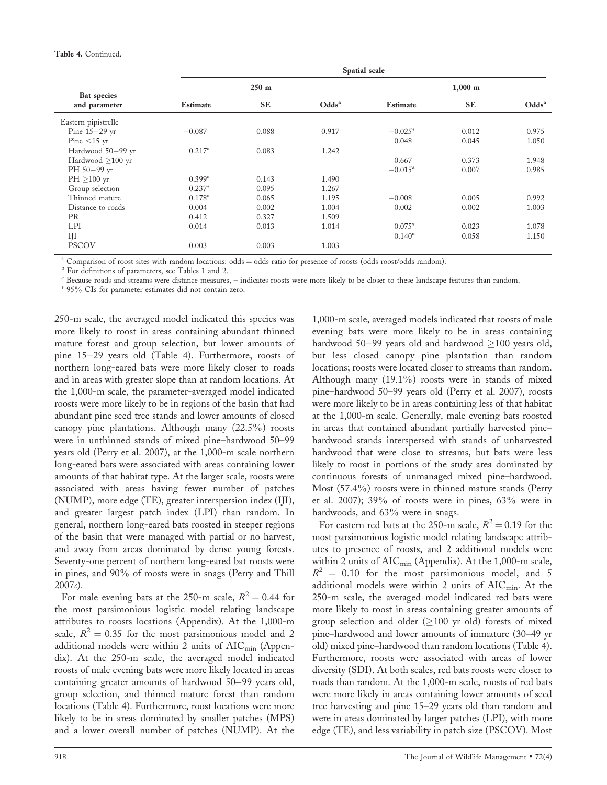|                              |                 |                 |                   | Spatial scale   |                       |                   |  |  |  |
|------------------------------|-----------------|-----------------|-------------------|-----------------|-----------------------|-------------------|--|--|--|
|                              |                 | $250 \text{ m}$ |                   |                 | $1,000 \; \mathrm{m}$ |                   |  |  |  |
| Bat species<br>and parameter | <b>Estimate</b> | <b>SE</b>       | Odds <sup>a</sup> | <b>Estimate</b> | <b>SE</b>             | Odds <sup>a</sup> |  |  |  |
| Eastern pipistrelle          |                 |                 |                   |                 |                       |                   |  |  |  |
| Pine $15-29$ yr              | $-0.087$        | 0.088           | 0.917             | $-0.025*$       | 0.012                 | 0.975             |  |  |  |
| Pine $\leq 15$ yr            |                 |                 |                   | 0.048           | 0.045                 | 1.050             |  |  |  |
| Hardwood 50–99 yr            | $0.217*$        | 0.083           | 1.242             |                 |                       |                   |  |  |  |
| Hardwood $>100$ yr           |                 |                 |                   | 0.667           | 0.373                 | 1.948             |  |  |  |
| PH 50-99 yr                  |                 |                 |                   | $-0.015*$       | 0.007                 | 0.985             |  |  |  |
| $PH \geq 100$ yr             | $0.399*$        | 0.143           | 1.490             |                 |                       |                   |  |  |  |
| Group selection              | $0.237*$        | 0.095           | 1.267             |                 |                       |                   |  |  |  |
| Thinned mature               | $0.178*$        | 0.065           | 1.195             | $-0.008$        | 0.005                 | 0.992             |  |  |  |
| Distance to roads            | 0.004           | 0.002           | 1.004             | 0.002           | 0.002                 | 1.003             |  |  |  |
| <b>PR</b>                    | 0.412           | 0.327           | 1.509             |                 |                       |                   |  |  |  |
| <b>LPI</b>                   | 0.014           | 0.013           | 1.014             | $0.075*$        | 0.023                 | 1.078             |  |  |  |
| IJI                          |                 |                 |                   | $0.140*$        | 0.058                 | 1.150             |  |  |  |
| <b>PSCOV</b>                 | 0.003           | 0.003           | 1.003             |                 |                       |                   |  |  |  |

<sup>a</sup> Comparison of roost sites with random locations: odds = odds ratio for presence of roosts (odds roost/odds random). b For definitions of parameters, see Tables 1 and 2.

<sup>c</sup> Because roads and streams were distance measures, – indicates roosts were more likely to be closer to these landscape features than random.

\* 95% CIs for parameter estimates did not contain zero.

250-m scale, the averaged model indicated this species was more likely to roost in areas containing abundant thinned mature forest and group selection, but lower amounts of pine 1529 years old (Table 4). Furthermore, roosts of northern long-eared bats were more likely closer to roads and in areas with greater slope than at random locations. At the 1,000-m scale, the parameter-averaged model indicated roosts were more likely to be in regions of the basin that had abundant pine seed tree stands and lower amounts of closed canopy pine plantations. Although many (22.5%) roosts were in unthinned stands of mixed pine–hardwood 50–99 years old (Perry et al. 2007), at the 1,000-m scale northern long-eared bats were associated with areas containing lower amounts of that habitat type. At the larger scale, roosts were associated with areas having fewer number of patches (NUMP), more edge (TE), greater interspersion index (IJI), and greater largest patch index (LPI) than random. In general, northern long-eared bats roosted in steeper regions of the basin that were managed with partial or no harvest, and away from areas dominated by dense young forests. Seventy-one percent of northern long-eared bat roosts were in pines, and 90% of roosts were in snags (Perry and Thill  $2007c$ ).

For male evening bats at the 250-m scale,  $R^2 = 0.44$  for the most parsimonious logistic model relating landscape attributes to roosts locations (Appendix). At the 1,000-m scale,  $R^2 = 0.35$  for the most parsimonious model and 2 additional models were within 2 units of  $AIC_{min}$  (Appendix). At the 250-m scale, the averaged model indicated roosts of male evening bats were more likely located in areas containing greater amounts of hardwood 50-99 years old, group selection, and thinned mature forest than random locations (Table 4). Furthermore, roost locations were more likely to be in areas dominated by smaller patches (MPS) and a lower overall number of patches (NUMP). At the 1,000-m scale, averaged models indicated that roosts of male evening bats were more likely to be in areas containing hardwood 50-99 years old and hardwood  $\geq$ 100 years old, but less closed canopy pine plantation than random locations; roosts were located closer to streams than random. Although many (19.1%) roosts were in stands of mixed pine–hardwood 50–99 years old (Perry et al. 2007), roosts were more likely to be in areas containing less of that habitat at the 1,000-m scale. Generally, male evening bats roosted in areas that contained abundant partially harvested pine– hardwood stands interspersed with stands of unharvested hardwood that were close to streams, but bats were less likely to roost in portions of the study area dominated by continuous forests of unmanaged mixed pine–hardwood. Most (57.4%) roosts were in thinned mature stands (Perry et al. 2007); 39% of roosts were in pines, 63% were in hardwoods, and 63% were in snags.

For eastern red bats at the 250-m scale,  $R^2 = 0.19$  for the most parsimonious logistic model relating landscape attributes to presence of roosts, and 2 additional models were within 2 units of  $AIC_{min}$  (Appendix). At the 1,000-m scale,  $R^2 = 0.10$  for the most parsimonious model, and 5 additional models were within 2 units of  $AIC_{min}$ . At the 250-m scale, the averaged model indicated red bats were more likely to roost in areas containing greater amounts of group selection and older ( $\geq$ 100 yr old) forests of mixed pine–hardwood and lower amounts of immature (30–49 yr old) mixed pine–hardwood than random locations (Table 4). Furthermore, roosts were associated with areas of lower diversity (SDI). At both scales, red bats roosts were closer to roads than random. At the 1,000-m scale, roosts of red bats were more likely in areas containing lower amounts of seed tree harvesting and pine 15–29 years old than random and were in areas dominated by larger patches (LPI), with more edge (TE), and less variability in patch size (PSCOV). Most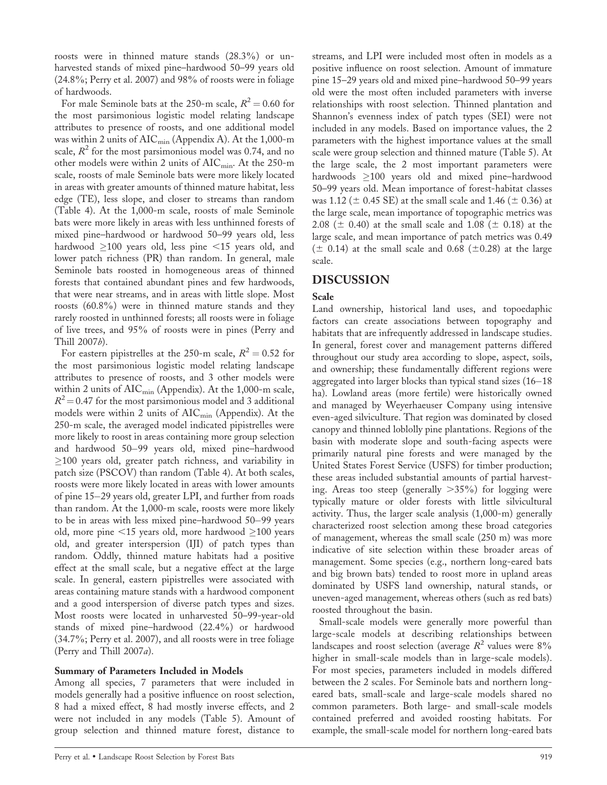roosts were in thinned mature stands (28.3%) or unharvested stands of mixed pine–hardwood 50–99 years old (24.8%; Perry et al. 2007) and 98% of roosts were in foliage of hardwoods.

For male Seminole bats at the 250-m scale,  $R^2 = 0.60$  for the most parsimonious logistic model relating landscape attributes to presence of roosts, and one additional model was within 2 units of  $AIC_{min}$  (Appendix A). At the 1,000-m scale,  $R^2$  for the most parsimonious model was 0.74, and no other models were within 2 units of  $AIC_{min}$ . At the 250-m scale, roosts of male Seminole bats were more likely located in areas with greater amounts of thinned mature habitat, less edge (TE), less slope, and closer to streams than random (Table 4). At the 1,000-m scale, roosts of male Seminole bats were more likely in areas with less unthinned forests of mixed pine–hardwood or hardwood 50–99 years old, less hardwood  $\geq 100$  years old, less pine <15 years old, and lower patch richness (PR) than random. In general, male Seminole bats roosted in homogeneous areas of thinned forests that contained abundant pines and few hardwoods, that were near streams, and in areas with little slope. Most roosts (60.8%) were in thinned mature stands and they rarely roosted in unthinned forests; all roosts were in foliage of live trees, and 95% of roosts were in pines (Perry and Thill 2007b).

For eastern pipistrelles at the 250-m scale,  $R^2 = 0.52$  for the most parsimonious logistic model relating landscape attributes to presence of roosts, and 3 other models were within 2 units of  $AIC_{min}$  (Appendix). At the 1,000-m scale,  $R^2$  = 0.47 for the most parsimonious model and 3 additional models were within 2 units of  $AIC_{min}$  (Appendix). At the 250-m scale, the averaged model indicated pipistrelles were more likely to roost in areas containing more group selection and hardwood 50–99 years old, mixed pine–hardwood  $\geq$ 100 years old, greater patch richness, and variability in patch size (PSCOV) than random (Table 4). At both scales, roosts were more likely located in areas with lower amounts of pine 15-29 years old, greater LPI, and further from roads than random. At the 1,000-m scale, roosts were more likely to be in areas with less mixed pine–hardwood 50–99 years old, more pine  $\leq 15$  years old, more hardwood  $\geq 100$  years old, and greater interspersion (IJI) of patch types than random. Oddly, thinned mature habitats had a positive effect at the small scale, but a negative effect at the large scale. In general, eastern pipistrelles were associated with areas containing mature stands with a hardwood component and a good interspersion of diverse patch types and sizes. Most roosts were located in unharvested 50–99-year-old stands of mixed pine–hardwood (22.4%) or hardwood (34.7%; Perry et al. 2007), and all roosts were in tree foliage (Perry and Thill 2007a).

#### Summary of Parameters Included in Models

Among all species, 7 parameters that were included in models generally had a positive influence on roost selection, 8 had a mixed effect, 8 had mostly inverse effects, and 2 were not included in any models (Table 5). Amount of group selection and thinned mature forest, distance to streams, and LPI were included most often in models as a positive influence on roost selection. Amount of immature pine 15–29 years old and mixed pine–hardwood 50–99 years old were the most often included parameters with inverse relationships with roost selection. Thinned plantation and Shannon's evenness index of patch types (SEI) were not included in any models. Based on importance values, the 2 parameters with the highest importance values at the small scale were group selection and thinned mature (Table 5). At the large scale, the 2 most important parameters were hardwoods  $\geq 100$  years old and mixed pine–hardwood 50–99 years old. Mean importance of forest-habitat classes was 1.12 ( $\pm$  0.45 SE) at the small scale and 1.46 ( $\pm$  0.36) at the large scale, mean importance of topographic metrics was 2.08 ( $\pm$  0.40) at the small scale and 1.08 ( $\pm$  0.18) at the large scale, and mean importance of patch metrics was 0.49  $(\pm 0.14)$  at the small scale and 0.68 ( $\pm$ 0.28) at the large scale.

#### DISCUSSION

#### Scale

Land ownership, historical land uses, and topoedaphic factors can create associations between topography and habitats that are infrequently addressed in landscape studies. In general, forest cover and management patterns differed throughout our study area according to slope, aspect, soils, and ownership; these fundamentally different regions were aggregated into larger blocks than typical stand sizes  $(16-18)$ ha). Lowland areas (more fertile) were historically owned and managed by Weyerhaeuser Company using intensive even-aged silviculture. That region was dominated by closed canopy and thinned loblolly pine plantations. Regions of the basin with moderate slope and south-facing aspects were primarily natural pine forests and were managed by the United States Forest Service (USFS) for timber production; these areas included substantial amounts of partial harvesting. Areas too steep (generally  $>35\%$ ) for logging were typically mature or older forests with little silvicultural activity. Thus, the larger scale analysis (1,000-m) generally characterized roost selection among these broad categories of management, whereas the small scale (250 m) was more indicative of site selection within these broader areas of management. Some species (e.g., northern long-eared bats and big brown bats) tended to roost more in upland areas dominated by USFS land ownership, natural stands, or uneven-aged management, whereas others (such as red bats) roosted throughout the basin.

Small-scale models were generally more powerful than large-scale models at describing relationships between landscapes and roost selection (average  $R^2$  values were 8% higher in small-scale models than in large-scale models). For most species, parameters included in models differed between the 2 scales. For Seminole bats and northern longeared bats, small-scale and large-scale models shared no common parameters. Both large- and small-scale models contained preferred and avoided roosting habitats. For example, the small-scale model for northern long-eared bats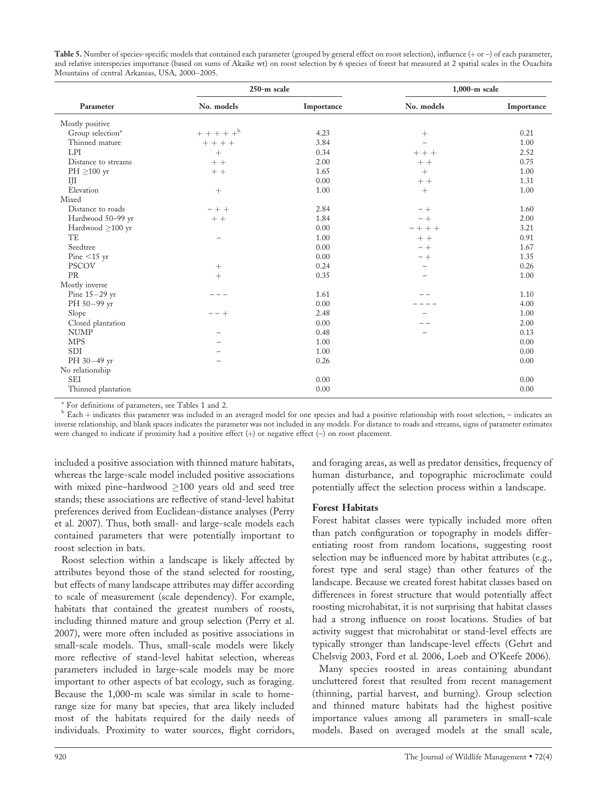| Table 5. Number of species-specific models that contained each parameter (grouped by general effect on roost selection), influence $(+$ or $-)$ of each parameter, |
|--------------------------------------------------------------------------------------------------------------------------------------------------------------------|
| and relative interspecies importance (based on sums of Akaike wt) on roost selection by 6 species of forest bat measured at 2 spatial scales in the Ouachita       |
| Mountains of central Arkansas, USA, 2000–2005.                                                                                                                     |

|                              | 250-m scale                |            |                          | $1,000$ -m scale |
|------------------------------|----------------------------|------------|--------------------------|------------------|
| Parameter                    | No. models                 | Importance | No. models               | Importance       |
| Mostly positive              |                            |            |                          |                  |
| Group selection <sup>a</sup> | $+ + + + + +$ <sup>b</sup> | 4.23       |                          | 0.21             |
| Thinned mature               | $++++$                     | 3.84       |                          | 1.00             |
| LPI                          | $^{+}$                     | 0.34       | $+ + +$                  | 2.52             |
| Distance to streams          | $+ +$                      | 2.00       | $++$                     | 0.75             |
| $PH \geq 100$ yr             | $+ +$                      | 1.65       | $+$                      | 1.00             |
| IJI                          |                            | 0.00       | $+ +$                    | 1.31             |
| Elevation                    | $\boldsymbol{+}$           | 1.00       | $+$                      | 1.00             |
| Mixed                        |                            |            |                          |                  |
| Distance to roads            | $- + +$                    | 2.84       | $-+$                     | 1.60             |
| Hardwood 50-99 yr            | $++$                       | 1.84       | $-+$                     | 2.00             |
| Hardwood $\geq$ 100 yr       |                            | 0.00       | $++ +$                   | 3.21             |
| TE                           | $\overline{\phantom{0}}$   | 1.00       | $+ +$                    | 0.91             |
| Seedtree                     |                            | 0.00       | $-+$                     | 1.67             |
| Pine $\leq 15$ yr            |                            | 0.00       | $- +$                    | 1.35             |
| <b>PSCOV</b>                 | $^{+}$                     | 0.24       | $\overline{\phantom{0}}$ | 0.26             |
| PR                           | $^{+}$                     | 0.35       | $\overline{\phantom{0}}$ | 1.00             |
| Mostly inverse               |                            |            |                          |                  |
| Pine $15-29$ yr              |                            | 1.61       |                          | 1.10             |
| PH 50-99 yr                  |                            | 0.00       |                          | 4.00             |
| Slope                        | $-- +$                     | 2.48       |                          | 1.00             |
| Closed plantation            |                            | 0.00       |                          | 2.00             |
| <b>NUMP</b>                  |                            | 0.48       |                          | 0.13             |
| <b>MPS</b>                   |                            | 1.00       |                          | 0.00             |
| SDI                          |                            | 1.00       |                          | 0.00             |
| PH 30-49 yr                  | $\overline{\phantom{0}}$   | 0.26       |                          | 0.00             |
| No relationship              |                            |            |                          |                  |
| <b>SEI</b>                   |                            | 0.00       |                          | 0.00             |
| Thinned plantation           |                            | 0.00       |                          | 0.00             |

<sup>a</sup> For definitions of parameters, see Tables 1 and 2.

 $b$  Each + indicates this parameter was included in an averaged model for one species and had a positive relationship with roost selection, – indicates an inverse relationship, and blank spaces indicates the parameter was not included in any models. For distance to roads and streams, signs of parameter estimates were changed to indicate if proximity had a positive effect (+) or negative effect (-) on roost placement.

included a positive association with thinned mature habitats, whereas the large-scale model included positive associations with mixed pine–hardwood  $\geq$ 100 years old and seed tree stands; these associations are reflective of stand-level habitat preferences derived from Euclidean-distance analyses (Perry et al. 2007). Thus, both small- and large-scale models each contained parameters that were potentially important to roost selection in bats.

Roost selection within a landscape is likely affected by attributes beyond those of the stand selected for roosting, but effects of many landscape attributes may differ according to scale of measurement (scale dependency). For example, habitats that contained the greatest numbers of roosts, including thinned mature and group selection (Perry et al. 2007), were more often included as positive associations in small-scale models. Thus, small-scale models were likely more reflective of stand-level habitat selection, whereas parameters included in large-scale models may be more important to other aspects of bat ecology, such as foraging. Because the 1,000-m scale was similar in scale to homerange size for many bat species, that area likely included most of the habitats required for the daily needs of individuals. Proximity to water sources, flight corridors, and foraging areas, as well as predator densities, frequency of human disturbance, and topographic microclimate could potentially affect the selection process within a landscape.

#### Forest Habitats

Forest habitat classes were typically included more often than patch configuration or topography in models differentiating roost from random locations, suggesting roost selection may be influenced more by habitat attributes (e.g., forest type and seral stage) than other features of the landscape. Because we created forest habitat classes based on differences in forest structure that would potentially affect roosting microhabitat, it is not surprising that habitat classes had a strong influence on roost locations. Studies of bat activity suggest that microhabitat or stand-level effects are typically stronger than landscape-level effects (Gehrt and Chelsvig 2003, Ford et al. 2006, Loeb and O'Keefe 2006).

Many species roosted in areas containing abundant uncluttered forest that resulted from recent management (thinning, partial harvest, and burning). Group selection and thinned mature habitats had the highest positive importance values among all parameters in small-scale models. Based on averaged models at the small scale,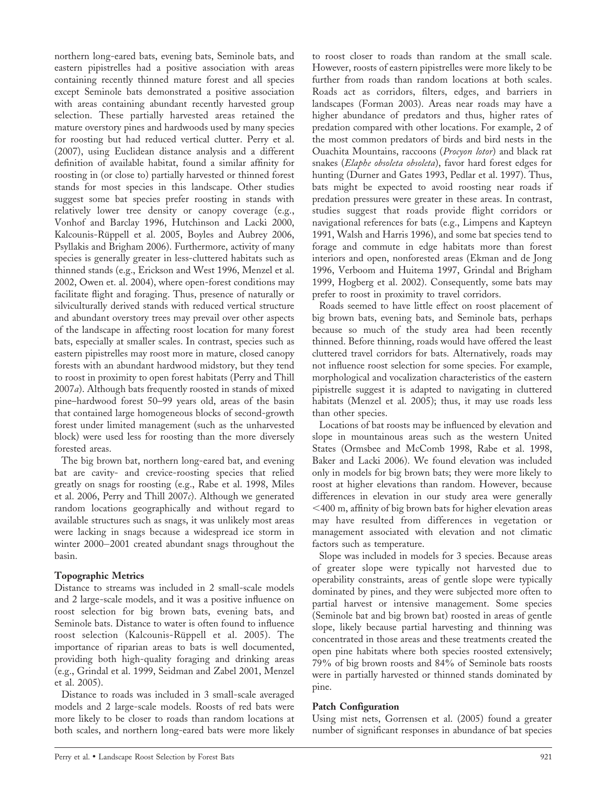northern long-eared bats, evening bats, Seminole bats, and eastern pipistrelles had a positive association with areas containing recently thinned mature forest and all species except Seminole bats demonstrated a positive association with areas containing abundant recently harvested group selection. These partially harvested areas retained the mature overstory pines and hardwoods used by many species for roosting but had reduced vertical clutter. Perry et al. (2007), using Euclidean distance analysis and a different definition of available habitat, found a similar affinity for roosting in (or close to) partially harvested or thinned forest stands for most species in this landscape. Other studies suggest some bat species prefer roosting in stands with relatively lower tree density or canopy coverage (e.g., Vonhof and Barclay 1996, Hutchinson and Lacki 2000, Kalcounis-Rüppell et al. 2005, Boyles and Aubrey 2006, Psyllakis and Brigham 2006). Furthermore, activity of many species is generally greater in less-cluttered habitats such as thinned stands (e.g., Erickson and West 1996, Menzel et al. 2002, Owen et. al. 2004), where open-forest conditions may facilitate flight and foraging. Thus, presence of naturally or silviculturally derived stands with reduced vertical structure and abundant overstory trees may prevail over other aspects of the landscape in affecting roost location for many forest bats, especially at smaller scales. In contrast, species such as eastern pipistrelles may roost more in mature, closed canopy forests with an abundant hardwood midstory, but they tend to roost in proximity to open forest habitats (Perry and Thill 2007a). Although bats frequently roosted in stands of mixed pine–hardwood forest 50–99 years old, areas of the basin that contained large homogeneous blocks of second-growth forest under limited management (such as the unharvested block) were used less for roosting than the more diversely forested areas.

The big brown bat, northern long-eared bat, and evening bat are cavity- and crevice-roosting species that relied greatly on snags for roosting (e.g., Rabe et al. 1998, Miles et al. 2006, Perry and Thill 2007c). Although we generated random locations geographically and without regard to available structures such as snags, it was unlikely most areas were lacking in snags because a widespread ice storm in winter 2000-2001 created abundant snags throughout the basin.

#### Topographic Metrics

Distance to streams was included in 2 small-scale models and 2 large-scale models, and it was a positive influence on roost selection for big brown bats, evening bats, and Seminole bats. Distance to water is often found to influence roost selection (Kalcounis-Rüppell et al. 2005). The importance of riparian areas to bats is well documented, providing both high-quality foraging and drinking areas (e.g., Grindal et al. 1999, Seidman and Zabel 2001, Menzel et al. 2005).

Distance to roads was included in 3 small-scale averaged models and 2 large-scale models. Roosts of red bats were more likely to be closer to roads than random locations at both scales, and northern long-eared bats were more likely to roost closer to roads than random at the small scale. However, roosts of eastern pipistrelles were more likely to be further from roads than random locations at both scales. Roads act as corridors, filters, edges, and barriers in landscapes (Forman 2003). Areas near roads may have a higher abundance of predators and thus, higher rates of predation compared with other locations. For example, 2 of the most common predators of birds and bird nests in the Ouachita Mountains, raccoons (Procyon lotor) and black rat snakes (Elaphe obsoleta obsoleta), favor hard forest edges for hunting (Durner and Gates 1993, Pedlar et al. 1997). Thus, bats might be expected to avoid roosting near roads if predation pressures were greater in these areas. In contrast, studies suggest that roads provide flight corridors or navigational references for bats (e.g., Limpens and Kapteyn 1991, Walsh and Harris 1996), and some bat species tend to forage and commute in edge habitats more than forest interiors and open, nonforested areas (Ekman and de Jong 1996, Verboom and Huitema 1997, Grindal and Brigham 1999, Hogberg et al. 2002). Consequently, some bats may prefer to roost in proximity to travel corridors.

Roads seemed to have little effect on roost placement of big brown bats, evening bats, and Seminole bats, perhaps because so much of the study area had been recently thinned. Before thinning, roads would have offered the least cluttered travel corridors for bats. Alternatively, roads may not influence roost selection for some species. For example, morphological and vocalization characteristics of the eastern pipistrelle suggest it is adapted to navigating in cluttered habitats (Menzel et al. 2005); thus, it may use roads less than other species.

Locations of bat roosts may be influenced by elevation and slope in mountainous areas such as the western United States (Ormsbee and McComb 1998, Rabe et al. 1998, Baker and Lacki 2006). We found elevation was included only in models for big brown bats; they were more likely to roost at higher elevations than random. However, because differences in elevation in our study area were generally  $<$  400 m, affinity of big brown bats for higher elevation areas may have resulted from differences in vegetation or management associated with elevation and not climatic factors such as temperature.

Slope was included in models for 3 species. Because areas of greater slope were typically not harvested due to operability constraints, areas of gentle slope were typically dominated by pines, and they were subjected more often to partial harvest or intensive management. Some species (Seminole bat and big brown bat) roosted in areas of gentle slope, likely because partial harvesting and thinning was concentrated in those areas and these treatments created the open pine habitats where both species roosted extensively; 79% of big brown roosts and 84% of Seminole bats roosts were in partially harvested or thinned stands dominated by pine.

#### Patch Configuration

Using mist nets, Gorrensen et al. (2005) found a greater number of significant responses in abundance of bat species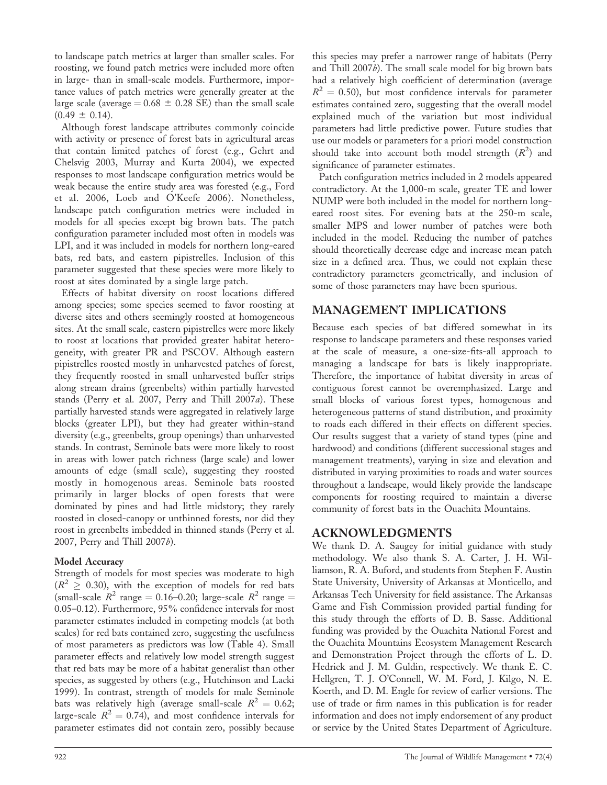to landscape patch metrics at larger than smaller scales. For roosting, we found patch metrics were included more often in large- than in small-scale models. Furthermore, importance values of patch metrics were generally greater at the large scale (average =  $0.68 \pm 0.28$  SE) than the small scale  $(0.49 \pm 0.14).$ 

Although forest landscape attributes commonly coincide with activity or presence of forest bats in agricultural areas that contain limited patches of forest (e.g., Gehrt and Chelsvig 2003, Murray and Kurta 2004), we expected responses to most landscape configuration metrics would be weak because the entire study area was forested (e.g., Ford et al. 2006, Loeb and O'Keefe 2006). Nonetheless, landscape patch configuration metrics were included in models for all species except big brown bats. The patch configuration parameter included most often in models was LPI, and it was included in models for northern long-eared bats, red bats, and eastern pipistrelles. Inclusion of this parameter suggested that these species were more likely to roost at sites dominated by a single large patch.

Effects of habitat diversity on roost locations differed among species; some species seemed to favor roosting at diverse sites and others seemingly roosted at homogeneous sites. At the small scale, eastern pipistrelles were more likely to roost at locations that provided greater habitat heterogeneity, with greater PR and PSCOV. Although eastern pipistrelles roosted mostly in unharvested patches of forest, they frequently roosted in small unharvested buffer strips along stream drains (greenbelts) within partially harvested stands (Perry et al. 2007, Perry and Thill 2007a). These partially harvested stands were aggregated in relatively large blocks (greater LPI), but they had greater within-stand diversity (e.g., greenbelts, group openings) than unharvested stands. In contrast, Seminole bats were more likely to roost in areas with lower patch richness (large scale) and lower amounts of edge (small scale), suggesting they roosted mostly in homogenous areas. Seminole bats roosted primarily in larger blocks of open forests that were dominated by pines and had little midstory; they rarely roosted in closed-canopy or unthinned forests, nor did they roost in greenbelts imbedded in thinned stands (Perry et al. 2007, Perry and Thill 2007b).

#### Model Accuracy

Strength of models for most species was moderate to high  $(R^2 \geq 0.30)$ , with the exception of models for red bats (small-scale  $R^2$  range = 0.16–0.20; large-scale  $R^2$  range = 0.05–0.12). Furthermore, 95% confidence intervals for most parameter estimates included in competing models (at both scales) for red bats contained zero, suggesting the usefulness of most parameters as predictors was low (Table 4). Small parameter effects and relatively low model strength suggest that red bats may be more of a habitat generalist than other species, as suggested by others (e.g., Hutchinson and Lacki 1999). In contrast, strength of models for male Seminole bats was relatively high (average small-scale  $R^2 = 0.62$ ; large-scale  $R^2 = 0.74$ ), and most confidence intervals for parameter estimates did not contain zero, possibly because

this species may prefer a narrower range of habitats (Perry and Thill  $2007b$ ). The small scale model for big brown bats had a relatively high coefficient of determination (average  $R^2 = 0.50$ , but most confidence intervals for parameter estimates contained zero, suggesting that the overall model explained much of the variation but most individual parameters had little predictive power. Future studies that use our models or parameters for a priori model construction should take into account both model strength  $(R^2)$  and significance of parameter estimates.

Patch configuration metrics included in 2 models appeared contradictory. At the 1,000-m scale, greater TE and lower NUMP were both included in the model for northern longeared roost sites. For evening bats at the 250-m scale, smaller MPS and lower number of patches were both included in the model. Reducing the number of patches should theoretically decrease edge and increase mean patch size in a defined area. Thus, we could not explain these contradictory parameters geometrically, and inclusion of some of those parameters may have been spurious.

# MANAGEMENT IMPLICATIONS

Because each species of bat differed somewhat in its response to landscape parameters and these responses varied at the scale of measure, a one-size-fits-all approach to managing a landscape for bats is likely inappropriate. Therefore, the importance of habitat diversity in areas of contiguous forest cannot be overemphasized. Large and small blocks of various forest types, homogenous and heterogeneous patterns of stand distribution, and proximity to roads each differed in their effects on different species. Our results suggest that a variety of stand types (pine and hardwood) and conditions (different successional stages and management treatments), varying in size and elevation and distributed in varying proximities to roads and water sources throughout a landscape, would likely provide the landscape components for roosting required to maintain a diverse community of forest bats in the Ouachita Mountains.

# ACKNOWLEDGMENTS

We thank D. A. Saugey for initial guidance with study methodology. We also thank S. A. Carter, J. H. Williamson, R. A. Buford, and students from Stephen F. Austin State University, University of Arkansas at Monticello, and Arkansas Tech University for field assistance. The Arkansas Game and Fish Commission provided partial funding for this study through the efforts of D. B. Sasse. Additional funding was provided by the Ouachita National Forest and the Ouachita Mountains Ecosystem Management Research and Demonstration Project through the efforts of L. D. Hedrick and J. M. Guldin, respectively. We thank E. C. Hellgren, T. J. O'Connell, W. M. Ford, J. Kilgo, N. E. Koerth, and D. M. Engle for review of earlier versions. The use of trade or firm names in this publication is for reader information and does not imply endorsement of any product or service by the United States Department of Agriculture.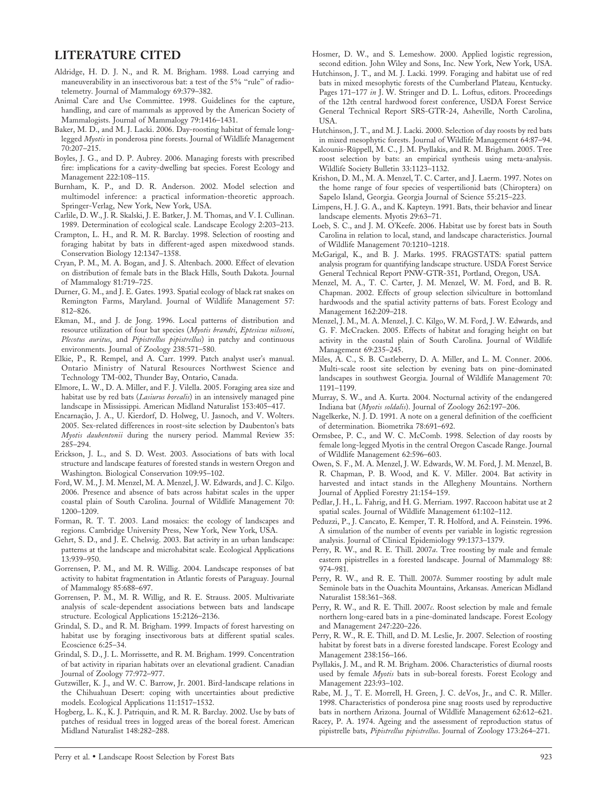### LITERATURE CITED

- Aldridge, H. D. J. N., and R. M. Brigham. 1988. Load carrying and maneuverability in an insectivorous bat: a test of the 5% ''rule'' of radiotelemetry. Journal of Mammalogy 69:379–382.
- Animal Care and Use Committee. 1998. Guidelines for the capture, handling, and care of mammals as approved by the American Society of Mammalogists. Journal of Mammalogy 79:1416–1431.
- Baker, M. D., and M. J. Lacki. 2006. Day-roosting habitat of female longlegged Myotis in ponderosa pine forests. Journal of Wildlife Management 70:207–215.
- Boyles, J. G., and D. P. Aubrey. 2006. Managing forests with prescribed fire: implications for a cavity-dwelling bat species. Forest Ecology and Management 222:108–115.
- Burnham, K. P., and D. R. Anderson. 2002. Model selection and multimodel inference: a practical information-theoretic approach. Springer-Verlag, New York, New York, USA.
- Carlile, D. W., J. R. Skalski, J. E. Batker, J. M. Thomas, and V. I. Cullinan. 1989. Determination of ecological scale. Landscape Ecology 2:203–213.
- Crampton, L. H., and R. M. R. Barclay. 1998. Selection of roosting and foraging habitat by bats in different-aged aspen mixedwood stands. Conservation Biology 12:1347–1358.
- Cryan, P. M., M. A. Bogan, and J. S. Altenbach. 2000. Effect of elevation on distribution of female bats in the Black Hills, South Dakota. Journal of Mammalogy 81:719–725.
- Durner, G. M., and J. E. Gates. 1993. Spatial ecology of black rat snakes on Remington Farms, Maryland. Journal of Wildlife Management 57: 812–826.
- Ekman, M., and J. de Jong. 1996. Local patterns of distribution and resource utilization of four bat species (Myotis brandti, Eptesicus nilssoni, Plecotus auritus, and Pipistrellus pipistrellus) in patchy and continuous environments. Journal of Zoology 238:571–580.
- Elkie, P., R. Rempel, and A. Carr. 1999. Patch analyst user's manual. Ontario Ministry of Natural Resources Northwest Science and Technology TM-002, Thunder Bay, Ontario, Canada.
- Elmore, L. W., D. A. Miller, and F. J. Vilella. 2005. Foraging area size and habitat use by red bats (Lasiurus borealis) in an intensively managed pine landscape in Mississippi. American Midland Naturalist 153:405–417.
- Encarnação, J. A., U. Kierdorf, D. Holweg, U. Jasnoch, and V. Wolters. 2005. Sex-related differences in roost-site selection by Daubenton's bats Myotis daubentonii during the nursery period. Mammal Review 35: 285–294.
- Erickson, J. L., and S. D. West. 2003. Associations of bats with local structure and landscape features of forested stands in western Oregon and Washington. Biological Conservation 109:95–102.
- Ford, W. M., J. M. Menzel, M. A. Menzel, J. W. Edwards, and J. C. Kilgo. 2006. Presence and absence of bats across habitat scales in the upper coastal plain of South Carolina. Journal of Wildlife Management 70: 1200–1209.
- Forman, R. T. T. 2003. Land mosaics: the ecology of landscapes and regions. Cambridge University Press, New York, New York, USA.
- Gehrt, S. D., and J. E. Chelsvig. 2003. Bat activity in an urban landscape: patterns at the landscape and microhabitat scale. Ecological Applications 13:939–950.
- Gorrensen, P. M., and M. R. Willig. 2004. Landscape responses of bat activity to habitat fragmentation in Atlantic forests of Paraguay. Journal of Mammalogy 85:688–697.
- Gorrensen, P. M., M. R. Willig, and R. E. Strauss. 2005. Multivariate analysis of scale-dependent associations between bats and landscape structure. Ecological Applications 15:2126–2136.
- Grindal, S. D., and R. M. Brigham. 1999. Impacts of forest harvesting on habitat use by foraging insectivorous bats at different spatial scales. Ecoscience 6:25–34.
- Grindal, S. D., J. L. Morrissette, and R. M. Brigham. 1999. Concentration of bat activity in riparian habitats over an elevational gradient. Canadian Journal of Zoology 77:972–977.
- Gutzwiller, K. J., and W. C. Barrow, Jr. 2001. Bird-landscape relations in the Chihuahuan Desert: coping with uncertainties about predictive models. Ecological Applications 11:1517–1532.
- Hogberg, L. K., K. J. Patriquin, and R. M. R. Barclay. 2002. Use by bats of patches of residual trees in logged areas of the boreal forest. American Midland Naturalist 148:282–288.
- Hosmer, D. W., and S. Lemeshow. 2000. Applied logistic regression, second edition. John Wiley and Sons, Inc. New York, New York, USA.
- Hutchinson, J. T., and M. J. Lacki. 1999. Foraging and habitat use of red bats in mixed mesophytic forests of the Cumberland Plateau, Kentucky. Pages 171–177 in J. W. Stringer and D. L. Loftus, editors. Proceedings of the 12th central hardwood forest conference, USDA Forest Service General Technical Report SRS-GTR-24, Asheville, North Carolina, USA.
- Hutchinson, J. T., and M. J. Lacki. 2000. Selection of day roosts by red bats in mixed mesophytic forests. Journal of Wildlife Management 64:87–94.
- Kalcounis-Rüppell, M. C., J. M. Psyllakis, and R. M. Brigham. 2005. Tree roost selection by bats: an empirical synthesis using meta-analysis. Wildlife Society Bulletin 33:1123–1132.
- Krishon, D. M., M. A. Menzel, T. C. Carter, and J. Laerm. 1997. Notes on the home range of four species of vespertilionid bats (Chiroptera) on Sapelo Island, Georgia. Georgia Journal of Science 55:215–223.
- Limpens, H. J. G. A., and K. Kapteyn. 1991. Bats, their behavior and linear landscape elements. Myotis 29:63–71.
- Loeb, S. C., and J. M. O'Keefe. 2006. Habitat use by forest bats in South Carolina in relation to local, stand, and landscape characteristics. Journal of Wildlife Management 70:1210–1218.
- McGarigal, K., and B. J. Marks. 1995. FRAGSTATS: spatial pattern analysis program for quantifying landscape structure. USDA Forest Service General Technical Report PNW-GTR-351, Portland, Oregon, USA.
- Menzel, M. A., T. C. Carter, J. M. Menzel, W. M. Ford, and B. R. Chapman. 2002. Effects of group selection silviculture in bottomland hardwoods and the spatial activity patterns of bats. Forest Ecology and Management 162:209–218.
- Menzel, J. M., M. A. Menzel, J. C. Kilgo, W. M. Ford, J. W. Edwards, and G. F. McCracken. 2005. Effects of habitat and foraging height on bat activity in the coastal plain of South Carolina. Journal of Wildlife Management 69:235–245.
- Miles, A. C., S. B. Castleberry, D. A. Miller, and L. M. Conner. 2006. Multi-scale roost site selection by evening bats on pine-dominated landscapes in southwest Georgia. Journal of Wildlife Management 70: 1191–1199.
- Murray, S. W., and A. Kurta. 2004. Nocturnal activity of the endangered Indiana bat (Myotis soldalis). Journal of Zoology 262:197-206.
- Nagelkerke, N. J. D. 1991. A note on a general definition of the coefficient of determination. Biometrika 78:691–692.
- Ormsbee, P. C., and W. C. McComb. 1998. Selection of day roosts by female long-legged Myotis in the central Oregon Cascade Range. Journal of Wildlife Management 62:596–603.
- Owen, S. F., M. A. Menzel, J. W. Edwards, W. M. Ford, J. M. Menzel, B. R. Chapman, P. B. Wood, and K. V. Miller. 2004. Bat activity in harvested and intact stands in the Allegheny Mountains. Northern Journal of Applied Forestry 21:154–159.
- Pedlar, J. H., L. Fahrig, and H. G. Merriam. 1997. Raccoon habitat use at 2 spatial scales. Journal of Wildlife Management 61:102–112.
- Peduzzi, P., J. Cancato, E. Kemper, T. R. Holford, and A. Feinstein. 1996. A simulation of the number of events per variable in logistic regression analysis. Journal of Clinical Epidemiology 99:1373–1379.
- Perry, R. W., and R. E. Thill. 2007a. Tree roosting by male and female eastern pipistrelles in a forested landscape. Journal of Mammalogy 88: 974–981.
- Perry, R. W., and R. E. Thill. 2007b. Summer roosting by adult male Seminole bats in the Ouachita Mountains, Arkansas. American Midland Naturalist 158:361–368.
- Perry, R. W., and R. E. Thill. 2007c. Roost selection by male and female northern long-eared bats in a pine-dominated landscape. Forest Ecology and Management 247:220–226.
- Perry, R. W., R. E. Thill, and D. M. Leslie, Jr. 2007. Selection of roosting habitat by forest bats in a diverse forested landscape. Forest Ecology and Management 238:156–166.
- Psyllakis, J. M., and R. M. Brigham. 2006. Characteristics of diurnal roosts used by female Myotis bats in sub-boreal forests. Forest Ecology and Management 223:93–102.
- Rabe, M. J., T. E. Morrell, H. Green, J. C. deVos, Jr., and C. R. Miller. 1998. Characteristics of ponderosa pine snag roosts used by reproductive bats in northern Arizona. Journal of Wildlife Management 62:612–621.
- Racey, P. A. 1974. Ageing and the assessment of reproduction status of pipistrelle bats, Pipistrellus pipistrellus. Journal of Zoology 173:264–271.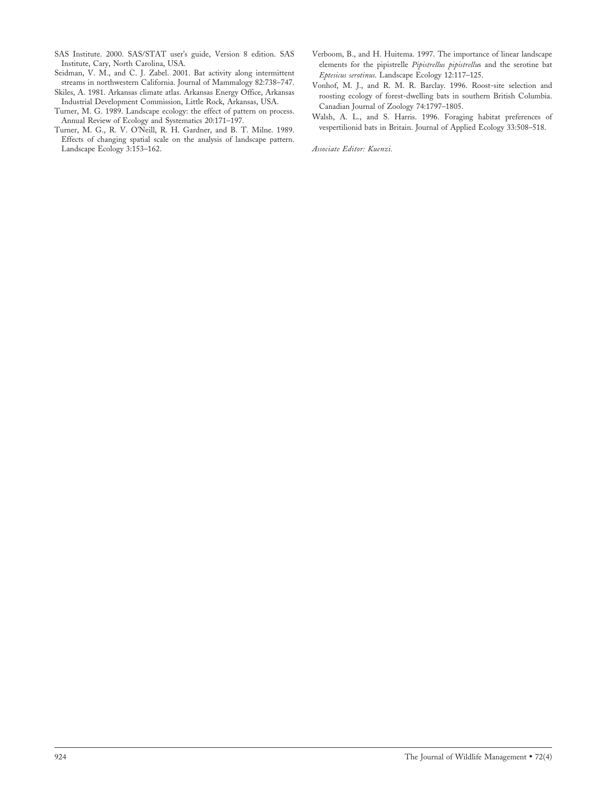SAS Institute. 2000. SAS/STAT user's guide, Version 8 edition. SAS Institute, Cary, North Carolina, USA.

- Seidman, V. M., and C. J. Zabel. 2001. Bat activity along intermittent streams in northwestern California. Journal of Mammalogy 82:738–747.
- Skiles, A. 1981. Arkansas climate atlas. Arkansas Energy Office, Arkansas Industrial Development Commission, Little Rock, Arkansas, USA.
- Turner, M. G. 1989. Landscape ecology: the effect of pattern on process. Annual Review of Ecology and Systematics 20:171–197.
- Turner, M. G., R. V. O'Neill, R. H. Gardner, and B. T. Milne. 1989. Effects of changing spatial scale on the analysis of landscape pattern. Landscape Ecology 3:153–162.
- Verboom, B., and H. Huitema. 1997. The importance of linear landscape elements for the pipistrelle Pipistrellus pipistrellus and the serotine bat Eptesicus serotinus. Landscape Ecology 12:117–125.
- Vonhof, M. J., and R. M. R. Barclay. 1996. Roost-site selection and roosting ecology of forest-dwelling bats in southern British Columbia. Canadian Journal of Zoology 74:1797–1805.
- Walsh, A. L., and S. Harris. 1996. Foraging habitat preferences of vespertilionid bats in Britain. Journal of Applied Ecology 33:508–518.

Associate Editor: Kuenzi.